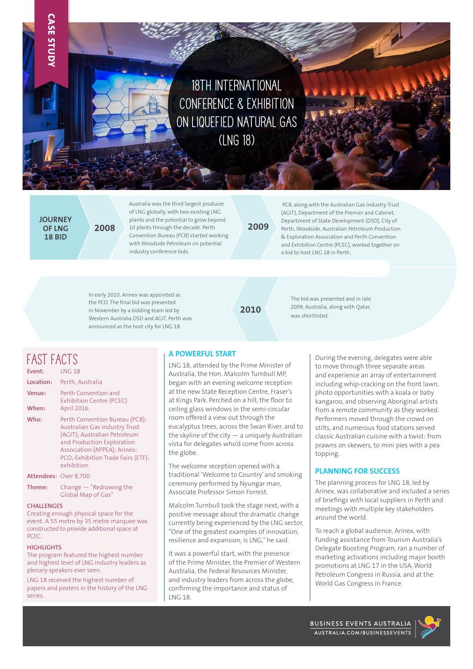# **18th International Conference & Exhibition on Liquefied Natural Gas (LNG 18)**

**JOURNEY OF LNG 18 BID**

**CASE STUDY**

Australia was the third largest producer of LNG globally, with two existing LNG plants and the potential to grow beyond 10 plants through the decade. Perth **2008 2009** Convention Bureau (PCB) started working with Woodside Petroleum on potential industry conference bids.

 PCB, along with the Australian Gas Industry Trust (AGIT), Department of the Premier and Cabinet, Department of State Development (DSD), City of Perth, Woodside, Australian Petroleum Production & Exploration Association and Perth Convention and Exhibition Centre (PCEC), worked together on a bid to host LNG 18 in Perth.

In early 2010, Arinex was appointed as the PCO. The final bid was presented in November by a bidding team led by Western Australia DSD and AGIT. Perth was announced as the host city for LNG 18.

**2010**

The bid was presented and in late 2009, Australia, along with Qatar, was shortlisted.

### **FAST FACTS**

| Event:                | <b>LNG 18</b>                                                                                                                                                                                                             |
|-----------------------|---------------------------------------------------------------------------------------------------------------------------------------------------------------------------------------------------------------------------|
| Location:             | Perth, Australia                                                                                                                                                                                                          |
| Venue:<br>When:       | Perth Convention and<br><b>Exhibition Centre (PCEC)</b><br>April 2016                                                                                                                                                     |
| Who:                  | Perth Convention Bureau (PCB):<br><b>Australian Gas Industry Trust</b><br>(AGIT); Australian Petroleum<br>and Production Exploration<br>Association (APPEA); Arinex:<br>PCO: Exhibition Trade Fairs (ETF):<br>exhibition. |
| Attendees: Over 8,700 |                                                                                                                                                                                                                           |

**Theme:** Change — "Redrawing the Global Map of Gas"

#### **CHALLENGES**

Creating enough physical space for the event. A 55 metre by 35 metre marquee was constructed to provide additional space at PCEC.

#### **HIGHLIGHTS**

The program featured the highest number and highest level of LNG industry leaders as plenary speakers ever seen.

LNG 18 received the highest number of papers and posters in the history of the LNG series.

#### **A POWERFUL START**

LNG 18, attended by the Prime Minister of Australia, the Hon. Malcolm Turnbull MP, began with an evening welcome reception at the new State Reception Centre, Fraser's at Kings Park. Perched on a hill, the floor to ceiling glass windows in the semi-circular room offered a view out through the eucalyptus trees, across the Swan River, and to the skyline of the city  $-$  a uniquely Australian vista for delegates who'd come from across the globe.

The welcome reception opened with a traditional 'Welcome to Country' and smoking ceremony performed by Nyungar man, Associate Professor Simon Forrest.

Malcolm Turnbull took the stage next, with a positive message about the dramatic change currently being experienced by the LNG sector, "One of the greatest examples of innovation, resilience and expansion, is LNG," he said.

It was a powerful start, with the presence of the Prime Minister, the Premier of Western Australia, the Federal Resources Minister, and industry leaders from across the globe, confirming the importance and status of LNG 18.

During the evening, delegates were able to move through three separate areas and experience an array of entertainment including whip-cracking on the front lawn, photo opportunities with a koala or baby kangaroo, and observing Aboriginal artists from a remote community as they worked. Performers moved through the crowd on stilts, and numerous food stations served classic Australian cuisine with a twist: from prawns on skewers, to mini pies with a pea topping.

### **PLANNING FOR SUCCESS**

The planning process for LNG 18, led by Arinex, was collaborative and included a series of briefings with local suppliers in Perth and meetings with multiple key stakeholders around the world.

To reach a global audience, Arinex, with funding assistance from Tourism Australia's Delegate Boosting Program, ran a number of marketing activations including major booth promotions at LNG 17 in the USA, World Petroleum Congress in Russia, and at the World Gas Congress in France.

BUSINESS EVENTS AUSTRALIA AUSTRALIA.COM/BUSINESSEVENTS